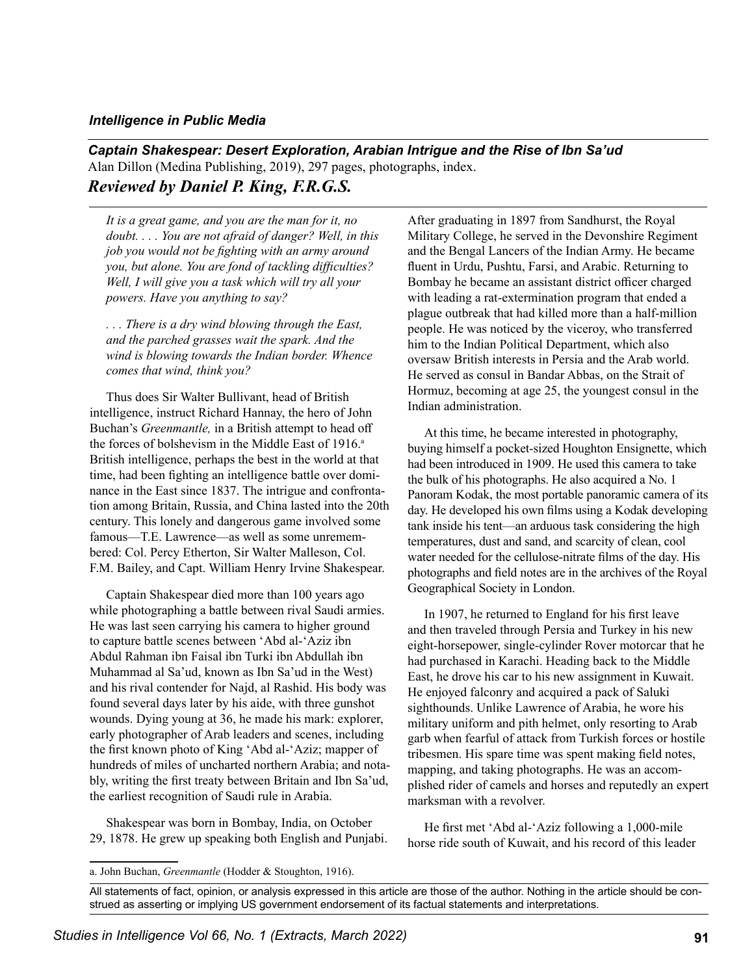## *Intelligence in Public Media*

*Captain Shakespear: Desert Exploration, Arabian Intrigue and the Rise of Ibn Sa'ud* Alan Dillon (Medina Publishing, 2019), 297 pages, photographs, index. *Reviewed by Daniel P. King, F.R.G.S.*

*It is a great game, and you are the man for it, no doubt. . . . You are not afraid of danger? Well, in this job you would not be fighting with an army around you, but alone. You are fond of tackling difficulties? Well, I will give you a task which will try all your powers. Have you anything to say?*

*. . . There is a dry wind blowing through the East, and the parched grasses wait the spark. And the wind is blowing towards the Indian border. Whence comes that wind, think you?*

Thus does Sir Walter Bullivant, head of British intelligence, instruct Richard Hannay, the hero of John Buchan's *Greenmantle,* in a British attempt to head off the forces of bolshevism in the Middle East of  $1916$ <sup>a</sup> British intelligence, perhaps the best in the world at that time, had been fighting an intelligence battle over dominance in the East since 1837. The intrigue and confrontation among Britain, Russia, and China lasted into the 20th century. This lonely and dangerous game involved some famous—T.E. Lawrence—as well as some unremembered: Col. Percy Etherton, Sir Walter Malleson, Col. F.M. Bailey, and Capt. William Henry Irvine Shakespear.

Captain Shakespear died more than 100 years ago while photographing a battle between rival Saudi armies. He was last seen carrying his camera to higher ground to capture battle scenes between 'Abd al-'Aziz ibn Abdul Rahman ibn Faisal ibn Turki ibn Abdullah ibn Muhammad al Sa'ud, known as Ibn Sa'ud in the West) and his rival contender for Najd, al Rashid. His body was found several days later by his aide, with three gunshot wounds. Dying young at 36, he made his mark: explorer, early photographer of Arab leaders and scenes, including the first known photo of King 'Abd al-'Aziz; mapper of hundreds of miles of uncharted northern Arabia; and notably, writing the first treaty between Britain and Ibn Sa'ud, the earliest recognition of Saudi rule in Arabia.

Shakespear was born in Bombay, India, on October 29, 1878. He grew up speaking both English and Punjabi. After graduating in 1897 from Sandhurst, the Royal Military College, he served in the Devonshire Regiment and the Bengal Lancers of the Indian Army. He became fluent in Urdu, Pushtu, Farsi, and Arabic. Returning to Bombay he became an assistant district officer charged with leading a rat-extermination program that ended a plague outbreak that had killed more than a half-million people. He was noticed by the viceroy, who transferred him to the Indian Political Department, which also oversaw British interests in Persia and the Arab world. He served as consul in Bandar Abbas, on the Strait of Hormuz, becoming at age 25, the youngest consul in the Indian administration.

At this time, he became interested in photography, buying himself a pocket-sized Houghton Ensignette, which had been introduced in 1909. He used this camera to take the bulk of his photographs. He also acquired a No. 1 Panoram Kodak, the most portable panoramic camera of its day. He developed his own films using a Kodak developing tank inside his tent—an arduous task considering the high temperatures, dust and sand, and scarcity of clean, cool water needed for the cellulose-nitrate films of the day. His photographs and field notes are in the archives of the Royal Geographical Society in London.

In 1907, he returned to England for his first leave and then traveled through Persia and Turkey in his new eight-horsepower, single-cylinder Rover motorcar that he had purchased in Karachi. Heading back to the Middle East, he drove his car to his new assignment in Kuwait. He enjoyed falconry and acquired a pack of Saluki sighthounds. Unlike Lawrence of Arabia, he wore his military uniform and pith helmet, only resorting to Arab garb when fearful of attack from Turkish forces or hostile tribesmen. His spare time was spent making field notes, mapping, and taking photographs. He was an accomplished rider of camels and horses and reputedly an expert marksman with a revolver.

He first met 'Abd al-'Aziz following a 1,000-mile horse ride south of Kuwait, and his record of this leader

All statements of fact, opinion, or analysis expressed in this article are those of the author. Nothing in the article should be construed as asserting or implying US government endorsement of its factual statements and interpretations.

a. John Buchan, *Greenmantle* (Hodder & Stoughton, 1916).